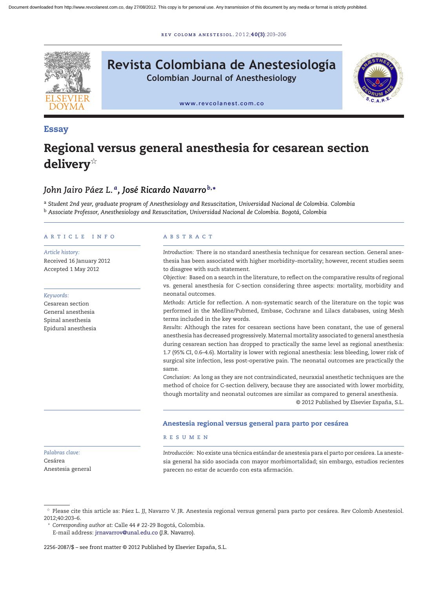r ev [colomb](dx.doi.org/10.1016/j.rcae.2012.06.001) ane s t e s iol . 2 0 1 2;**40(3)**:203–206



# **Revista Colombiana de Anestesiología**

**Colombian Journal of Anesthesiology**



[www.revcolanest.com.co](http://www.revcolanest.com.co)

#### **Essay**

## **Regional versus general anesthesia for cesarean section delivery**-

### *John Jairo Páez L. a, José Ricardo Navarro <sup>b</sup>***,<sup>∗</sup>**

<sup>a</sup> *Student 2nd year, graduate program of Anesthesiology and Resuscitation, Universidad Nacional de Colombia. Colombia* <sup>b</sup> *Associate Professor, Anesthesiology and Resuscitation, Universidad Nacional de Colombia. Bogotá, Colombia*

#### a r t i c l e i n f o

#### *Article history:*

Received 16 January 2012 Accepted 1 May 2012

#### *Keywords:*

Cesarean section General anesthesia Spinal anesthesia Epidural anesthesia

#### A B S T R A C T

*Introduction:* There is no standard anesthesia technique for cesarean section. General anesthesia has been associated with higher morbidity–mortality; however, recent studies seem to disagree with such statement.

*Objective:* Based on a search in the literature, to reflect on the comparative results of regional vs. general anesthesia for C-section considering three aspects: mortality, morbidity and neonatal outcomes.

*Methods:* Article for reflection. A non-systematic search of the literature on the topic was performed in the Medline/Pubmed, Embase, Cochrane and Lilacs databases, using Mesh terms included in the key words.

*Results:* Although the rates for cesarean sections have been constant, the use of general anesthesia has decreased progressively. Maternal mortality associated to general anesthesia during cesarean section has dropped to practically the same level as regional anesthesia: 1.7 (95% CI, 0.6–4.6). Mortality is lower with regional anesthesia: less bleeding, lower risk of surgical site infection, less post-operative pain. The neonatal outcomes are practically the same.

*Conclusion:* As long as they are not contraindicated, neuraxial anesthetic techniques are the method of choice for C-section delivery, because they are associated with lower morbidity, though mortality and neonatal outcomes are similar as compared to general anesthesia. © 2012 Published by Elsevier España, S.L.

#### **Anestesia regional versus general para parto por cesárea**

#### r e s u m e n

*Palabras clave:* Cesárea Anestesia general *Introducción:* No existe una técnica estándar de anestesia para el parto por cesárea. La anestesia general ha sido asociada con mayor morbimortalidad; sin embargo, estudios recientes parecen no estar de acuerdo con esta afirmación.

<sup>∗</sup> *Corresponding author at*: Calle 44 # 22-29 Bogotá, Colombia. E-mail address: [jrnavarrov@unal.edu.co](mailto:jrnavarrov@unal.edu.co) (J.R. Navarro).

2256-2087/\$ – see front matter © 2012 Published by Elsevier España, S.L.

 $^\star$  Please cite this article as: Páez L. JJ, Navarro V. JR. Anestesia regional versus general para parto por cesárea. Rev Colomb Anestesiol. 2012;40:203–6.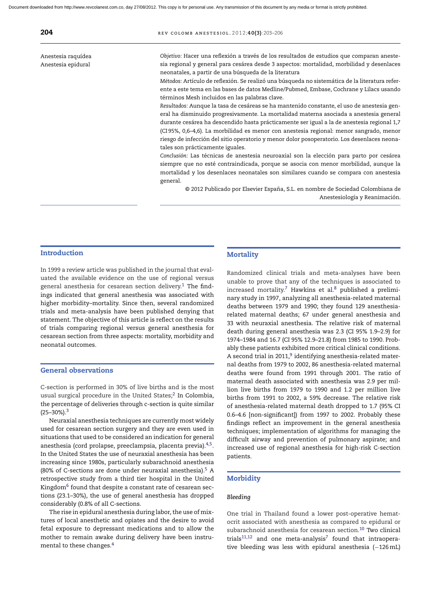Anestesia raquídea Anestesia epidural

*Objetivo:* Hacer una reflexión a través de los resultados de estudios que comparan anestesia regional y general para cesárea desde 3 aspectos: mortalidad, morbilidad y desenlaces neonatales, a partir de una búsqueda de la literatura

*Métodos:* Artículo de reflexión. Se realizó una búsqueda no sistemática de la literatura referente a este tema en las bases de datos Medline/Pubmed, Embase, Cochrane y Lilacs usando términos Mesh incluidos en las palabras clave.

*Resultados:* Aunque la tasa de cesáreas se ha mantenido constante, el uso de anestesia general ha disminuido progresivamente. La mortalidad materna asociada a anestesia general durante cesárea ha descendido hasta prácticamente ser igual a la de anestesia regional 1,7 (CI 95%, 0,6–4,6). La morbilidad es menor con anestesia regional: menor sangrado, menor riesgo de infección del sitio operatorio y menor dolor posoperatorio. Los desenlaces neonatales son prácticamente iguales.

*Conclusión:* Las técnicas de anestesia neuroaxial son la elección para parto por cesárea siempre que no esté contraindicada, porque se asocia con menor morbilidad, aunque la mortalidad y los desenlaces neonatales son similares cuando se compara con anestesia general.

© 2012 Publicado por Elsevier España, S.L. en nombre de Sociedad Colombiana de Anestesiología y Reanimación.

#### **Introduction**

In 1999 a review article was published in the journal that evaluated the available evidence on the use of regional versus general anesthesia for cesarean section delivery.<sup>1</sup> The findings indicated that general anesthesia was associated with higher morbidity–mortality. Since then, several randomized trials and meta-analysis have been published denying that statement. The objective of this article is reflect on the results of trials comparing regional versus general anesthesia for cesarean section from three aspects: mortality, morbidity and neonatal outcomes.

#### **General observations**

C-section is performed in 30% of live births and is the most usual surgical procedure in the United States;<sup>2</sup> In Colombia, the percentage of deliveries through c-section is quite similar  $(25-30\%)$  $(25-30\%)$  $(25-30\%)$ .<sup>3</sup>

Neuraxial anesthesia techniques are currently most widely used for cesarean section surgery and they are even used in situations that used to be considered an indication for general anesthesia (cord prolapse, preeclampsia, placenta previa)[.4,5.](#page-3-0) In the United States the use of neuraxial anesthesia has been increasing since 1980s, particularly subarachnoid anesthesia (80% of C-sections are done under neuraxial anesthesia).<sup>[5](#page-3-0)</sup> A retrospective study from a third tier hospital in the United Kingdom<sup>[6](#page-3-0)</sup> found that despite a constant rate of cesarean sections (23.1–30%), the use of general anesthesia has dropped considerably (0.8% of all C-sections.

The rise in epidural anesthesia during labor, the use of mixtures of local anesthetic and opiates and the desire to avoid fetal exposure to depressant medications and to allow the mother to remain awake during delivery have been instrumental to these changes[.4](#page-3-0)

#### **Mortality**

Randomized clinical trials and meta-analyses have been unable to prove that any of the techniques is associated to increased mortality.<sup>7</sup> Hawkins et al.<sup>8</sup> published a preliminary study in 1997, analyzing all anesthesia-related maternal deaths between 1979 and 1990; they found 129 anesthesiarelated maternal deaths; 67 under general anesthesia and 33 with neuraxial anesthesia. The relative risk of maternal death during general anesthesia was 2.3 (CI 95% 1.9–2.9) for 1974–1984 and 16.7 (CI 95% 12.9–21.8) from 1985 to 1990. Probably these patients exhibited more critical clinical conditions. A second trial in 2011, $9$  identifying anesthesia-related maternal deaths from 1979 to 2002, 86 anesthesia-related maternal deaths were found from 1991 through 2001. The ratio of maternal death associated with anesthesia was 2.9 per million live births from 1979 to 1990 and 1.2 per million live births from 1991 to 2002, a 59% decrease. The relative risk of anesthesia-related maternal death dropped to 1.7 (95% CI 0.6–4.6 [non-significant]) from 1997 to 2002. Probably these findings reflect an improvement in the general anesthesia techniques; implementation of algorithms for managing the difficult airway and prevention of pulmonary aspirate; and increased use of regional anesthesia for high-risk C-section patients.

#### **Morbidity**

#### *Bleeding*

One trial in Thailand found a lower post-operative hematocrit associated with anesthesia as compared to epidural or subarachnoid anesthesia for cesarean section.<sup>10</sup> Two clinical trials $11,12$  and one meta-analysis<sup>7</sup> found that intraoperative bleeding was less with epidural anesthesia (-126mL)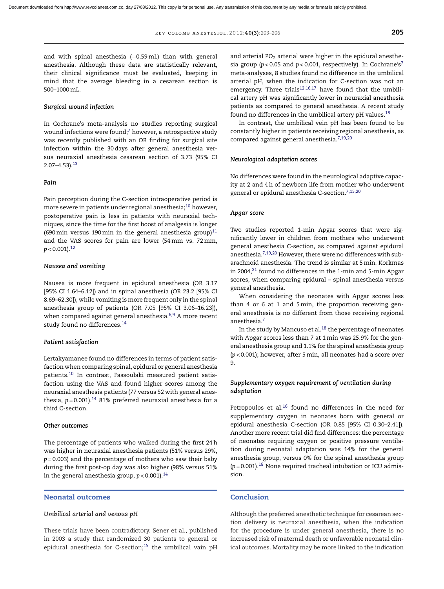and with spinal anesthesia (-0.59mL) than with general anesthesia. Although these data are statistically relevant, their clinical significance must be evaluated, keeping in mind that the average bleeding in a cesarean section is 500–1000mL.

#### *Surgical wound infection*

In Cochrane's meta-analysis no studies reporting surgical wound infections were found; $^7$  $^7$  however, a retrospective study was recently published with an OR finding for surgical site infection within the 30 days after general anesthesia versus neuraxial anesthesia cesarean section of 3.73 (95% CI 2.07–4.53).[13](#page-3-0)

#### *Pain*

Pain perception during the C-section intraoperative period is more severe in patients under regional anesthesia;<sup>10</sup> however, postoperative pain is less in patients with neuraxial techniques, since the time for the first boost of analgesia is longer (690 min versus 190 min in the general anesthesia group)<sup>[11](#page-3-0)</sup> and the VAS scores for pain are lower (54mm vs. 72mm,  $p < 0.001$ ).<sup>[12](#page-3-0)</sup>

#### *Nausea and vomiting*

Nausea is more frequent in epidural anesthesia (OR 3.17 [95% CI 1.64–6.12]) and in spinal anesthesia (OR 23.2 [95% CI 8.69–62.30]), while vomiting is more frequent only in the spinal anesthesia group of patients (OR 7.05 [95% CI 3.06–16.23]), when compared against general anesthesia.<sup>6,9</sup> A more recent study found no differences[.14](#page-3-0)

#### *Patient satisfaction*

Lertakyamanee found no differences in terms of patient satisfaction when comparing spinal, epidural or general anesthesia patients[.10](#page-3-0) In contrast, Fassoulaki measured patient satisfaction using the VAS and found higher scores among the neuraxial anesthesia patients (77 versus 52 with general anesthesia,  $p = 0.001$ ).<sup>[14](#page-3-0)</sup> 81% preferred neuraxial anesthesia for a third C-section.

#### *Other outcomes*

The percentage of patients who walked during the first 24h was higher in neuraxial anesthesia patients (51% versus 29%, *p* = 0.003) and the percentage of mothers who saw their baby during the first post-op day was also higher (98% versus 51% in the general anesthesia group, *p* < 0.001)[.14](#page-3-0)

#### **Neonatal outcomes**

#### *Umbilical arterial and venous pH*

These trials have been contradictory. Sener et al., published in 2003 a study that randomized 30 patients to general or epidural anesthesia for C-section;<sup>15</sup> the umbilical vain pH and arterial PO<sub>2</sub> arterial were higher in the epidural anesthesia group (*p* < 0.05 and *p* < 0.001, respectively). In Cochrane'[s7](#page-3-0) meta-analyses, 8 studies found no difference in the umbilical arterial pH, when the indication for C-section was not an emergency. Three trials<sup>12,16,17</sup> have found that the umbilical artery pH was significantly lower in neuraxial anesthesia patients as compared to general anesthesia. A recent study found no differences in the umbilical artery pH values. $^{18}$  $^{18}$  $^{18}$ 

In contrast, the umbilical vein pH has been found to be constantly higher in patients receiving regional anesthesia, as compared against general anesthesia.<sup>[7,19,20](#page-3-0)</sup>

#### *Neurological adaptation scores*

No differences were found in the neurological adaptive capacity at 2 and 4h of newborn life from mother who underwent general or epidural anesthesia C-section.<sup>[7,15,20](#page-3-0)</sup>

#### *Apgar score*

Two studies reported 1-min Apgar scores that were significantly lower in children from mothers who underwent general anesthesia C-section, as compared against epidural anesthesia. $7,19,20$  However, there were no differences with subarachnoid anesthesia. The trend is similar at 5min. Korkmas in 2004, $21$  found no differences in the 1-min and 5-min Apgar scores, when comparing epidural – spinal anesthesia versus general anesthesia.

When considering the neonates with Apgar scores less than 4 or 6 at 1 and 5min, the proportion receiving general anesthesia is no different from those receiving regional anesthesia[.7](#page-3-0)

In the study by Mancuso et al. $^{18}$  $^{18}$  $^{18}$  the percentage of neonates with Apgar scores less than 7 at 1min was 25.9% for the general anesthesia group and 1.1% for the spinal anesthesia group (*p* < 0.001); however, after 5min, all neonates had a score over 9.

#### *Supplementary oxygen requirement of ventilation during adaptation*

Petropoulos et al.<sup>16</sup> found no differences in the need for supplementary oxygen in neonates born with general or epidural anesthesia C-section (OR 0.85 [95% CI 0.30–2.41]). Another more recent trial did find differences: the percentage of neonates requiring oxygen or positive pressure ventilation during neonatal adaptation was 14% for the general anesthesia group, versus 0% for the spinal anesthesia group  $(p=0.001).$ <sup>18</sup> None required tracheal intubation or ICU admission.

#### **Conclusion**

Although the preferred anesthetic technique for cesarean section delivery is neuraxial anesthesia, when the indication for the procedure is under general anesthesia, there is no increased risk of maternal death or unfavorable neonatal clinical outcomes. Mortality may be more linked to the indication